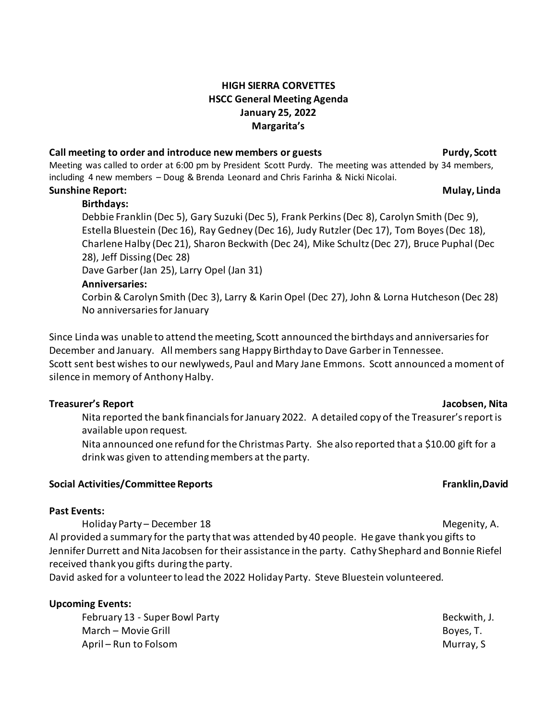## **HIGH SIERRA CORVETTES HSCC General Meeting Agenda January 25, 2022 Margarita's**

## **Call meeting to order and introduce new members or guests Purdy, Scott**

Meeting was called to order at 6:00 pm by President Scott Purdy. The meeting was attended by 34 members, including 4 new members – Doug & Brenda Leonard and Chris Farinha & Nicki Nicolai.

## **Sunshine Report: Mulay, Linda**

### **Birthdays:**

Debbie Franklin (Dec 5), Gary Suzuki (Dec 5), Frank Perkins(Dec 8), Carolyn Smith (Dec 9), Estella Bluestein (Dec 16), Ray Gedney (Dec 16), Judy Rutzler(Dec 17), Tom Boyes(Dec 18), Charlene Halby (Dec 21), Sharon Beckwith (Dec 24), Mike Schultz (Dec 27), Bruce Puphal (Dec 28), Jeff Dissing (Dec 28)

Dave Garber (Jan 25), Larry Opel (Jan 31)

#### **Anniversaries:**

Corbin & Carolyn Smith (Dec 3), Larry & Karin Opel (Dec 27), John & Lorna Hutcheson (Dec 28) No anniversaries for January

Since Linda was unable to attend the meeting, Scott announced the birthdays and anniversaries for December and January. All members sang Happy Birthday to Dave Garber in Tennessee. Scott sent best wishes to our newlyweds, Paul and Mary Jane Emmons. Scott announced a moment of silence in memory of Anthony Halby.

### **Treasurer's Report Jacobsen, Nita**

Nita reported the bank financials for January 2022. A detailed copy of the Treasurer'sreport is available upon request.

Nita announced one refund for the Christmas Party. She also reported that a \$10.00 gift for a drink was given to attending members at the party.

### **Social Activities/Committee Reports Franklin,David**

### **Past Events:**

Holiday Party – December 18 Megenity, A. (1990) and the state of the Megenity, A. (1990) and the Megenity, A. Al provided a summary for the party that was attended by 40 people. He gave thank you gifts to

Jennifer Durrett and Nita Jacobsen for their assistance in the party. Cathy Shephard and Bonnie Riefel received thank you gifts during the party.

David asked for a volunteer to lead the 2022 Holiday Party. Steve Bluestein volunteered.

### **Upcoming Events:**

February 13 - Super Bowl Party Beckwith, J. Beckwith, J. March – Movie Grill Boyes, T. April – Run to Folsom Murray, S. April – Run to Folsom Murray, S. April – Run to Murray, S. April – Murray, S.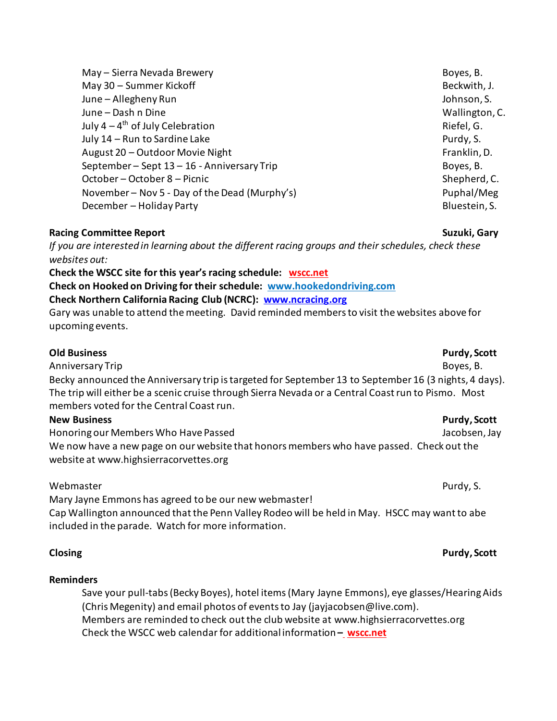| May - Sierra Nevada Brewery                   | Boyes, B.      |
|-----------------------------------------------|----------------|
| May 30 - Summer Kickoff                       | Beckwith, J.   |
| June - Allegheny Run                          | Johnson, S.    |
| June - Dash n Dine                            | Wallington, C. |
| July $4-4^{\text{th}}$ of July Celebration    | Riefel, G.     |
| July 14 - Run to Sardine Lake                 | Purdy, S.      |
| August 20 - Outdoor Movie Night               | Franklin, D.   |
| September-Sept 13-16 - Anniversary Trip       | Boyes, B.      |
| October - October 8 - Picnic                  | Shepherd, C.   |
| November - Nov 5 - Day of the Dead (Murphy's) | Puphal/Meg     |
| December - Holiday Party                      | Bluestein, S.  |
|                                               |                |

### **Racing Committee Report Suzuki, Gary**

*If you are interested in learning about the different racing groups and their schedules, check these websites out:*

#### **Check the WSCC site for this year's racing schedule: [wscc.net](https://wscc.net/)**

**Check on Hooked on Driving for their schedule: [www.hookedondriving.com](http://www.hookedondriving.com/)**

### **Check Northern California Racing Club (NCRC): [www.ncracing.org](http://www.ncracing.org/)**

Gary was unable to attend the meeting. David reminded members to visit the websites above for upcoming events.

### **Old Business Purdy, Scott**

Anniversary Trip Boyes, B. Anniversary Trip Boyes, B. Anniversary Trip Boyes, B. Becky announced the Anniversary trip is targeted for September 13 to September 16 (3 nights, 4 days). The trip will either be a scenic cruise through Sierra Nevada or a Central Coast run to Pismo. Most members voted for the Central Coast run.

## **New Business Purdy, Scott**

Honoring our Members Who Have Passed National Communication of the Unit of Article Jacobsen, Jay We now have a new page on our website that honors members who have passed. Check out the website at www.highsierracorvettes.org

## Webmaster **Pure and Security Contract Contract Contract Contract Contract Contract Contract Contract Contract Contract Contract Contract Contract Contract Contract Contract Contract Contract Contract Contract Contract Cont**

Mary Jayne Emmons has agreed to be our new webmaster!

Cap Wallington announced that the Penn Valley Rodeo will be held in May. HSCC may want to abe included in the parade. Watch for more information.

### **Reminders**

Save your pull-tabs(Becky Boyes), hotel items(Mary Jayne Emmons), eye glasses/Hearing Aids (Chris Megenity) and email photos of events to Jay (jayjacobsen@live.com). Members are reminded to check out the club website at www.highsierracorvettes.org Check the WSCC web calendar for additional information **[–](file:///C:/Users/nitaj/Downloads/–%20%20%20https:/wscc.net/) [wscc.net](https://wscc.net/)**

### **Closing Purdy, Scott**